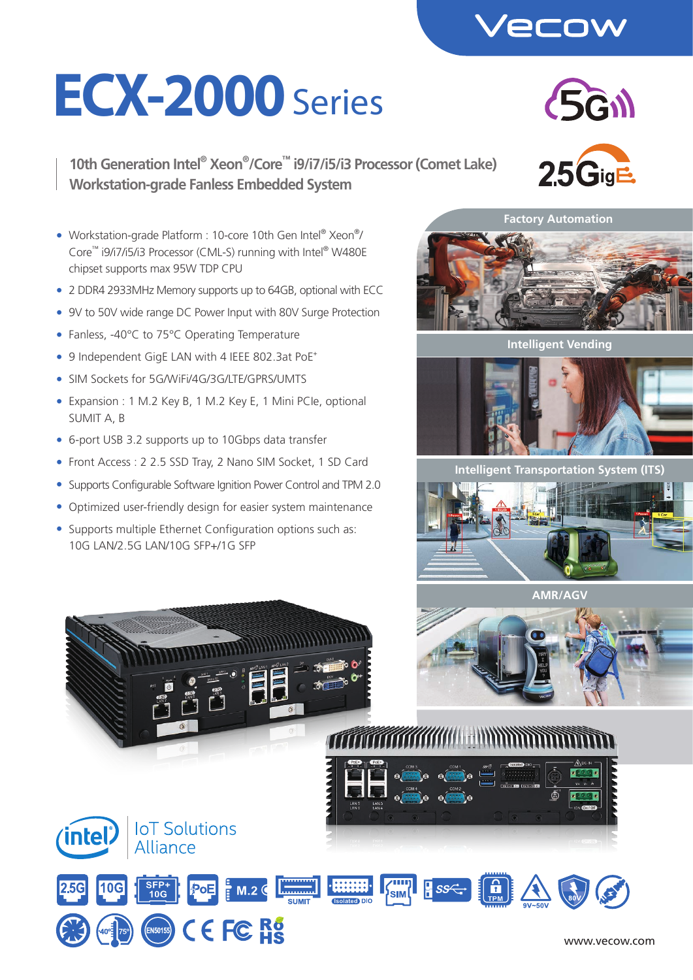

# **ECX-2000** Series

**10th Generation Intel® Xeon® /Core™ i9/i7/i5/i3 Processor (Comet Lake) Workstation-grade Fanless Embedded System**





**Intelligent Vending**



**Intelligent Transportation System (ITS)**





• Workstation-grade Platform : 10-core 10th Gen Intel® Xeon®/ Core™ i9/i7/i5/i3 Processor (CML-S) running with Intel® W480E chipset supports max 95W TDP CPU

- 2 DDR4 2933MHz Memory supports up to 64GB, optional with ECC
- 9V to 50V wide range DC Power Input with 80V Surge Protection
- Fanless, -40°C to 75°C Operating Temperature
- 9 Independent GigE LAN with 4 IEEE 802.3at PoE<sup>+</sup>
- SIM Sockets for 5G/WiFi/4G/3G/LTF/GPRS/UMTS
- Expansion : 1 M.2 Key B, 1 M.2 Key E, 1 Mini PCIe, optional SUMIT A, B
- 6-port USB 3.2 supports up to 10Gbps data transfer
- Front Access : 2 2.5 SSD Tray, 2 Nano SIM Socket, 1 SD Card
- Supports Configurable Software Ignition Power Control and TPM 2.0
- Optimized user-friendly design for easier system maintenance

**A STATE OF THE ANNUAL PROPERTY OF THE ANNUAL PROPERTY** 

 $M.2<sub>o</sub>$ 

 $C \in F \mathbb{C}$  R<sub>5</sub>

• Supports multiple Ethernet Configuration options such as: 10G LAN/2.5G LAN/10G SFP+/1G SFP

**IoT Solutions** 

Alliance

**SFP+**<br>10G

*intel* 



<u>TTT TETTER KANNING MINISTERS S</u>